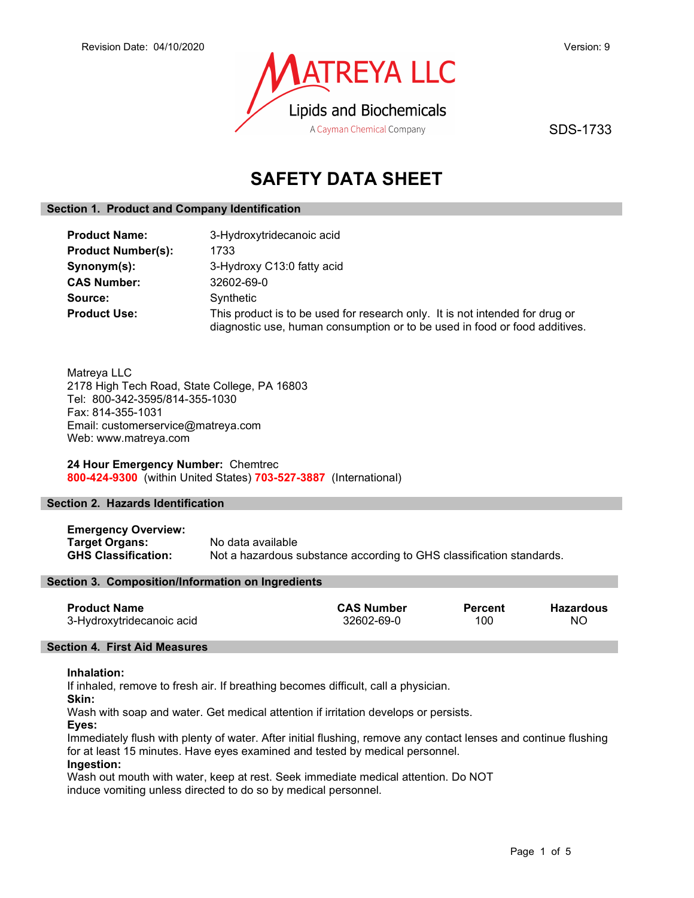

SDS-1733

# SAFETY DATA SHEET

# Section 1. Product and Company Identification

| <b>Product Name:</b>      | 3-Hydroxytridecanoic acid                                                                                                                                  |
|---------------------------|------------------------------------------------------------------------------------------------------------------------------------------------------------|
| <b>Product Number(s):</b> | 1733                                                                                                                                                       |
| Synonym(s):               | 3-Hydroxy C13:0 fatty acid                                                                                                                                 |
| <b>CAS Number:</b>        | 32602-69-0                                                                                                                                                 |
| Source:                   | Synthetic                                                                                                                                                  |
| <b>Product Use:</b>       | This product is to be used for research only. It is not intended for drug or<br>diagnostic use, human consumption or to be used in food or food additives. |

Matreya LLC 2178 High Tech Road, State College, PA 16803 Tel: 800-342-3595/814-355-1030 Fax: 814-355-1031 Email: customerservice@matreya.com Web: www.matreya.com

24 Hour Emergency Number: Chemtrec 800-424-9300 (within United States) 703-527-3887 (International)

## Section 2. Hazards Identification

Emergency Overview: Target Organs: No data available<br>
GHS Classification: Not a hazardous s Not a hazardous substance according to GHS classification standards.

## Section 3. Composition/Information on Ingredients

| <b>Product Name</b>       | <b>CAS Number</b> | <b>Percent</b> | Hazardous |
|---------------------------|-------------------|----------------|-----------|
| 3-Hydroxytridecanoic acid | 32602-69-0        | 100            | NO        |

#### Section 4. First Aid Measures

#### Inhalation:

If inhaled, remove to fresh air. If breathing becomes difficult, call a physician.

Skin:

Wash with soap and water. Get medical attention if irritation develops or persists.

Eyes:

Immediately flush with plenty of water. After initial flushing, remove any contact lenses and continue flushing for at least 15 minutes. Have eyes examined and tested by medical personnel.

## Ingestion:

Wash out mouth with water, keep at rest. Seek immediate medical attention. Do NOT induce vomiting unless directed to do so by medical personnel.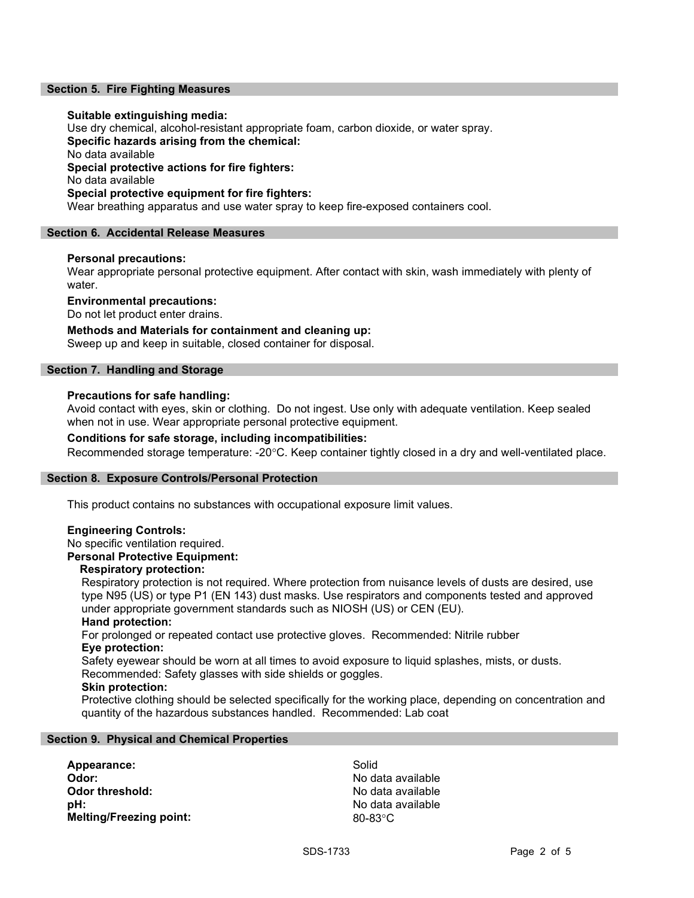## Section 5. Fire Fighting Measures

#### Suitable extinguishing media:

Use dry chemical, alcohol-resistant appropriate foam, carbon dioxide, or water spray. Specific hazards arising from the chemical: No data available Special protective actions for fire fighters: No data available Special protective equipment for fire fighters: Wear breathing apparatus and use water spray to keep fire-exposed containers cool.

#### Section 6. Accidental Release Measures

#### Personal precautions:

Wear appropriate personal protective equipment. After contact with skin, wash immediately with plenty of water.

Environmental precautions:

Do not let product enter drains.

## Methods and Materials for containment and cleaning up:

Sweep up and keep in suitable, closed container for disposal.

## Section 7. Handling and Storage

#### Precautions for safe handling:

Avoid contact with eyes, skin or clothing. Do not ingest. Use only with adequate ventilation. Keep sealed when not in use. Wear appropriate personal protective equipment.

## Conditions for safe storage, including incompatibilities:

Recommended storage temperature: -20°C. Keep container tightly closed in a dry and well-ventilated place.

#### Section 8. Exposure Controls/Personal Protection

This product contains no substances with occupational exposure limit values.

## Engineering Controls:

No specific ventilation required.

# Personal Protective Equipment:

# Respiratory protection:

Respiratory protection is not required. Where protection from nuisance levels of dusts are desired, use type N95 (US) or type P1 (EN 143) dust masks. Use respirators and components tested and approved under appropriate government standards such as NIOSH (US) or CEN (EU).

#### Hand protection:

For prolonged or repeated contact use protective gloves. Recommended: Nitrile rubber Eye protection:

Safety eyewear should be worn at all times to avoid exposure to liquid splashes, mists, or dusts. Recommended: Safety glasses with side shields or goggles.

#### Skin protection:

Protective clothing should be selected specifically for the working place, depending on concentration and quantity of the hazardous substances handled. Recommended: Lab coat

#### Section 9. Physical and Chemical Properties

Appearance: Solid Odor: No data available pH: No data available Melting/Freezing point: 80-83°C

No data available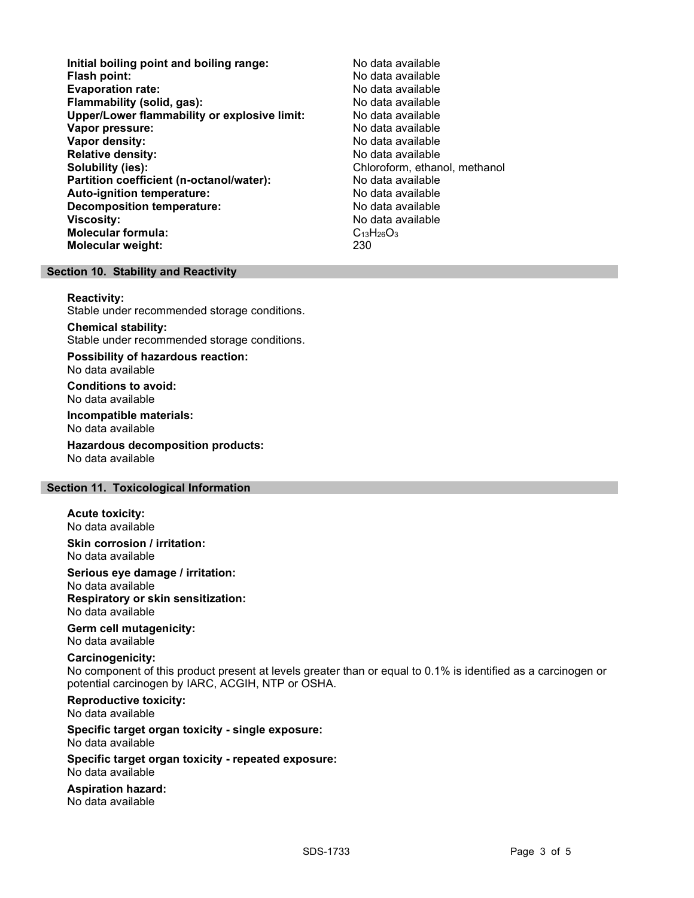- Initial boiling point and boiling range: No data available Flash point: No data available<br>
Evaporation rate: No data available Evaporation rate: Flammability (solid, gas): No data available Upper/Lower flammability or explosive limit: No data available **Vapor pressure:** No data available values and the values of the values of the values of the values of the values of the values of the values of the values of the values of the values of the values of the values of the val Vapor density: No data available Relative density: No data available Solubility (ies): Chloroform, ethanol, methanol, methanol, methanol, methanol, methanol, methanol, methanol, methanol, methanol, methanol, methanol, methanol, methanol, methanol, methanol, methanol, methanol, methanol, met Partition coefficient (n-octanol/water): No data available<br>
Auto-ignition temperature: No data available Auto-ignition temperature: Decomposition temperature: No data available Viscosity: No data available Molecular formula:  $C_{13}H_{26}O_3$ Molecular weight: 230
	-

# Section 10. Stability and Reactivity

Reactivity:

Stable under recommended storage conditions.

Chemical stability:

Stable under recommended storage conditions.

Possibility of hazardous reaction: No data available

Conditions to avoid: No data available

Incompatible materials:

No data available

Hazardous decomposition products: No data available

## Section 11. Toxicological Information

Acute toxicity: No data available

Skin corrosion / irritation: No data available

Serious eye damage / irritation: No data available Respiratory or skin sensitization: No data available

Germ cell mutagenicity: No data available

#### Carcinogenicity:

No component of this product present at levels greater than or equal to 0.1% is identified as a carcinogen or potential carcinogen by IARC, ACGIH, NTP or OSHA.

Reproductive toxicity:

No data available

#### Specific target organ toxicity - single exposure: No data available

Specific target organ toxicity - repeated exposure:

No data available

Aspiration hazard: No data available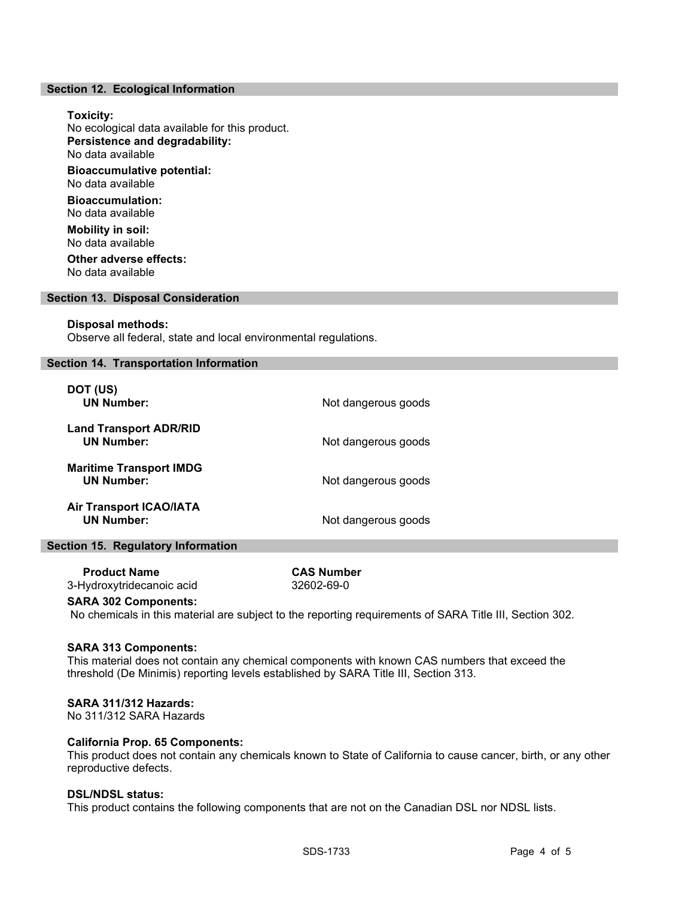#### Section 12. Ecological Information

# Toxicity: No ecological data available for this product. Persistence and degradability: No data available Bioaccumulative potential: No data available Bioaccumulation: No data available Mobility in soil: No data available Other adverse effects: No data available

#### Section 13. Disposal Consideration

#### Disposal methods:

Observe all federal, state and local environmental regulations.

## Section 14. Transportation Information

| DOT (US)<br><b>UN Number:</b>                       | Not dangerous goods |
|-----------------------------------------------------|---------------------|
| <b>Land Transport ADR/RID</b><br><b>UN Number:</b>  | Not dangerous goods |
| <b>Maritime Transport IMDG</b><br><b>UN Number:</b> | Not dangerous goods |
| <b>Air Transport ICAO/IATA</b><br><b>UN Number:</b> | Not dangerous goods |

#### Section 15. Regulatory Information

| <b>Product Name</b>       | <b>CAS Number</b> |
|---------------------------|-------------------|
| 3-Hydroxytridecanoic acid | 32602-69-0        |

#### SARA 302 Components:

No chemicals in this material are subject to the reporting requirements of SARA Title III, Section 302.

#### SARA 313 Components:

This material does not contain any chemical components with known CAS numbers that exceed the threshold (De Minimis) reporting levels established by SARA Title III, Section 313.

### SARA 311/312 Hazards:

No 311/312 SARA Hazards

## California Prop. 65 Components:

This product does not contain any chemicals known to State of California to cause cancer, birth, or any other reproductive defects.

## DSL/NDSL status:

This product contains the following components that are not on the Canadian DSL nor NDSL lists.